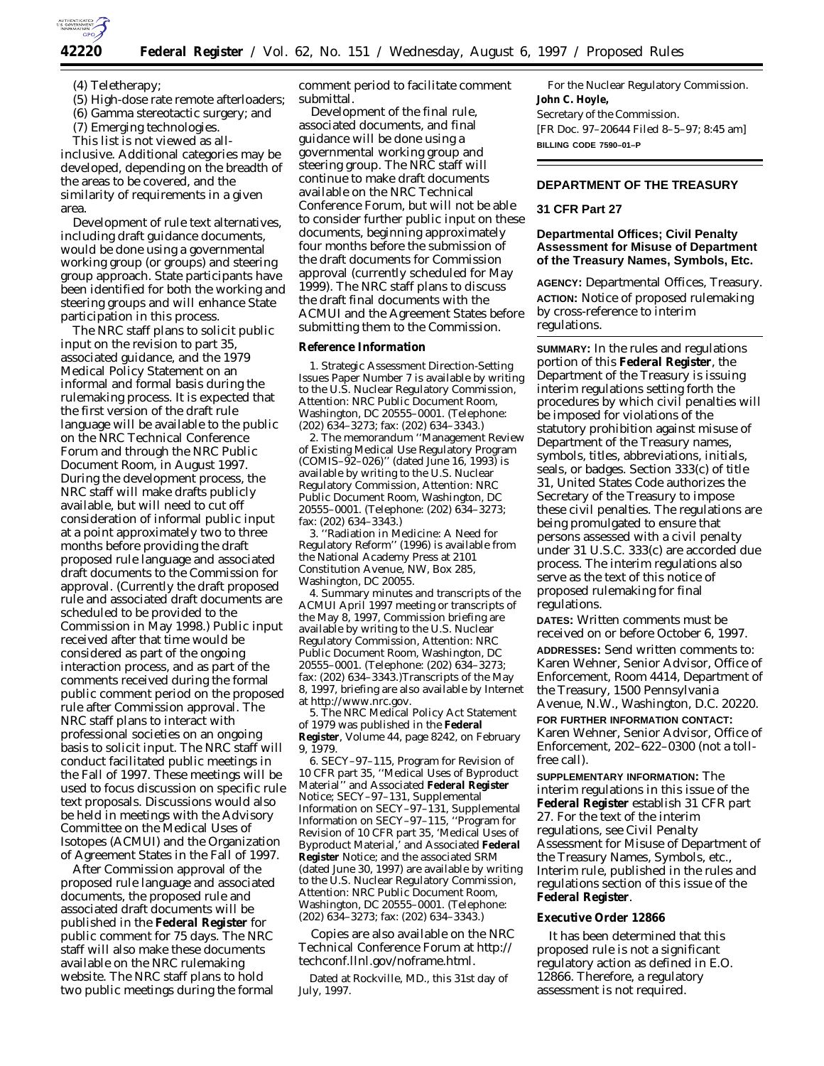

(4) Teletherapy;

- (5) High-dose rate remote afterloaders;
- (6) Gamma stereotactic surgery; and
- (7) Emerging technologies.

This list is not viewed as allinclusive. Additional categories may be developed, depending on the breadth of the areas to be covered, and the similarity of requirements in a given area.

Development of rule text alternatives, including draft guidance documents, would be done using a governmental working group (or groups) and steering group approach. State participants have been identified for both the working and steering groups and will enhance State participation in this process.

The NRC staff plans to solicit public input on the revision to part 35, associated guidance, and the 1979 Medical Policy Statement on an informal and formal basis during the rulemaking process. It is expected that the first version of the draft rule language will be available to the public on the NRC Technical Conference Forum and through the NRC Public Document Room, in August 1997. During the development process, the NRC staff will make drafts publicly available, but will need to cut off consideration of informal public input at a point approximately two to three months before providing the draft proposed rule language and associated draft documents to the Commission for approval. (Currently the draft proposed rule and associated draft documents are scheduled to be provided to the Commission in May 1998.) Public input received after that time would be considered as part of the ongoing interaction process, and as part of the comments received during the formal public comment period on the proposed rule after Commission approval. The NRC staff plans to interact with professional societies on an ongoing basis to solicit input. The NRC staff will conduct facilitated public meetings in the Fall of 1997. These meetings will be used to focus discussion on specific rule text proposals. Discussions would also be held in meetings with the Advisory Committee on the Medical Uses of Isotopes (ACMUI) and the Organization of Agreement States in the Fall of 1997.

After Commission approval of the proposed rule language and associated documents, the proposed rule and associated draft documents will be published in the **Federal Register** for public comment for 75 days. The NRC staff will also make these documents available on the NRC rulemaking website. The NRC staff plans to hold two public meetings during the formal

comment period to facilitate comment submittal.

Development of the final rule, associated documents, and final guidance will be done using a governmental working group and steering group. The NRC staff will continue to make draft documents available on the NRC Technical Conference Forum, but will not be able to consider further public input on these documents, beginning approximately four months before the submission of the draft documents for Commission approval (currently scheduled for May 1999). The NRC staff plans to discuss the draft final documents with the ACMUI and the Agreement States before submitting them to the Commission.

### **Reference Information**

1. Strategic Assessment Direction-Setting Issues Paper Number 7 is available by writing to the U.S. Nuclear Regulatory Commission, Attention: NRC Public Document Room, Washington, DC 20555–0001. (Telephone: (202) 634–3273; fax: (202) 634–3343.)

2. The memorandum ''Management Review of Existing Medical Use Regulatory Program  $(COMIS-92-026)$ " (dated June 16, 1993) is available by writing to the U.S. Nuclear Regulatory Commission, Attention: NRC Public Document Room, Washington, DC 20555–0001. (Telephone: (202) 634–3273; fax: (202) 634–3343.)

3. ''Radiation in Medicine: A Need for Regulatory Reform'' (1996) is available from the National Academy Press at 2101 Constitution Avenue, NW, Box 285, Washington, DC 20055.

4. Summary minutes and transcripts of the ACMUI April 1997 meeting or transcripts of the May 8, 1997, Commission briefing are available by writing to the U.S. Nuclear Regulatory Commission, Attention: NRC Public Document Room, Washington, DC 20555–0001. (Telephone: (202) 634–3273; fax: (202) 634–3343.)Transcripts of the May 8, 1997, briefing are also available by Internet at http://www.nrc.gov.

5. The NRC Medical Policy Act Statement of 1979 was published in the **Federal Register**, Volume 44, page 8242, on February 9, 1979.

6. SECY–97–115, Program for Revision of 10 CFR part 35, ''Medical Uses of Byproduct Material'' and Associated **Federal Register** Notice; SECY–97–131, Supplemental Information on SECY–97–131, Supplemental Information on SECY–97–115, ''Program for Revision of 10 CFR part 35, 'Medical Uses of Byproduct Material,' and Associated **Federal Register** Notice; and the associated SRM (dated June 30, 1997) are available by writing to the U.S. Nuclear Regulatory Commission, Attention: NRC Public Document Room, Washington, DC 20555–0001. (Telephone: (202) 634–3273; fax: (202) 634–3343.)

Copies are also available on the NRC Technical Conference Forum at http:// techconf.llnl.gov/noframe.html.

Dated at Rockville, MD., this 31st day of July, 1997.

For the Nuclear Regulatory Commission. **John C. Hoyle,** *Secretary of the Commission.* [FR Doc. 97–20644 Filed 8–5–97; 8:45 am] **BILLING CODE 7590–01–P**

# **DEPARTMENT OF THE TREASURY**

### **31 CFR Part 27**

# **Departmental Offices; Civil Penalty Assessment for Misuse of Department of the Treasury Names, Symbols, Etc.**

**AGENCY:** Departmental Offices, Treasury. **ACTION:** Notice of proposed rulemaking by cross-reference to interim regulations.

**SUMMARY:** In the rules and regulations portion of this **Federal Register**, the Department of the Treasury is issuing interim regulations setting forth the procedures by which civil penalties will be imposed for violations of the statutory prohibition against misuse of Department of the Treasury names, symbols, titles, abbreviations, initials, seals, or badges. Section 333(c) of title 31, United States Code authorizes the Secretary of the Treasury to impose these civil penalties. The regulations are being promulgated to ensure that persons assessed with a civil penalty under 31 U.S.C. 333(c) are accorded due process. The interim regulations also serve as the text of this notice of proposed rulemaking for final regulations.

**DATES:** Written comments must be received on or before October 6, 1997.

**ADDRESSES:** Send written comments to: Karen Wehner, Senior Advisor, Office of Enforcement, Room 4414, Department of the Treasury, 1500 Pennsylvania Avenue, N.W., Washington, D.C. 20220.

**FOR FURTHER INFORMATION CONTACT:** Karen Wehner, Senior Advisor, Office of Enforcement, 202–622–0300 (not a tollfree call).

**SUPPLEMENTARY INFORMATION:** The interim regulations in this issue of the **Federal Register** establish 31 CFR part 27. For the text of the interim regulations, see Civil Penalty Assessment for Misuse of Department of the Treasury Names, Symbols, etc., Interim rule, published in the rules and regulations section of this issue of the **Federal Register**.

### **Executive Order 12866**

It has been determined that this proposed rule is not a significant regulatory action as defined in E.O. 12866. Therefore, a regulatory assessment is not required.